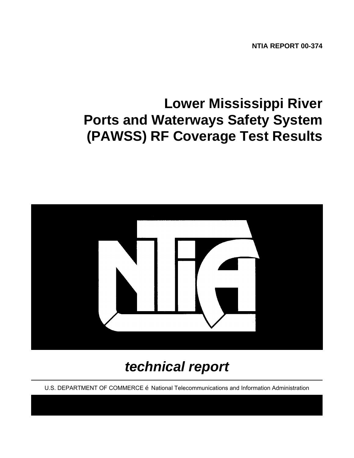**NTIA REPORT 00-374**

# **Lower Mississippi River Ports and Waterways Safety System (PAWSS) RF Coverage Test Results**



## *technical report*

U.S. DEPARTMENT OF COMMERCE Ž National Telecommunications and Information Administration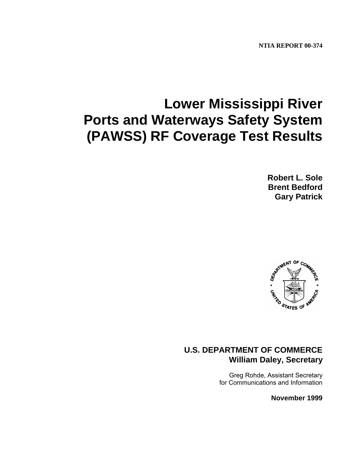**NTIA REPORT 00-374**

# **Lower Mississippi River Ports and Waterways Safety System (PAWSS) RF Coverage Test Results**

**Robert L. Sole Brent Bedford Gary Patrick**



## **U.S. DEPARTMENT OF COMMERCE William Daley, Secretary**

Greg Rohde, Assistant Secretary for Communications and Information

**November 1999**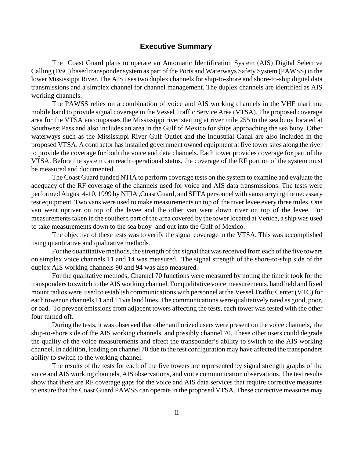#### **Executive Summary**

The Coast Guard plans to operate an Automatic Identification System (AIS) Digital Selective Calling (DSC) based transponder system as part of the Ports and Waterways Safety System (PAWSS) in the lower Mississippi River. The AIS uses two duplex channels for ship-to-shore and shore-to-ship digital data transmissions and a simplex channel for channel management. The duplex channels are identified as AIS working channels.

The PAWSS relies on a combination of voice and AIS working channels in the VHF maritime mobile band to provide signal coverage in the Vessel Traffic Service Area (VTSA). The proposed coverage area for the VTSA encompasses the Mississippi river starting at river mile 255 to the sea buoy located at Southwest Pass and also includes an area in the Gulf of Mexico for ships approaching the sea buoy. Other waterways such as the Mississippi River Gulf Outlet and the Industrial Canal are also included in the proposed VTSA. A contractor has installed government owned equipment at five tower sites along the river to provide the coverage for both the voice and data channels. Each tower provides coverage for part of the VTSA. Before the system can reach operational status, the coverage of the RF portion of the system must be measured and documented.

The Coast Guard funded NTIA to perform coverage tests on the system to examine and evaluate the adequacy of the RF coverage of the channels used for voice and AIS data transmissions. The tests were performed August 4-10, 1999 by NTIA ,Coast Guard, and SETA personnel with vans carrying the necessary test equipment. Two vans were used to make measurements on top of the river levee every three miles. One van went upriver on top of the levee and the other van went down river on top of the levee. For measurements taken in the southern part of the area covered by the tower located at Venice, a ship was used to take measurements down to the sea buoy and out into the Gulf of Mexico.

The objective of these tests was to verify the signal coverage in the VTSA. This was accomplished using quantitative and qualitative methods.

For the quantitative methods, the strength of the signal that was received from each of the five towers on simplex voice channels 11 and 14 was measured. The signal strength of the shore-to-ship side of the duplex AIS working channels 90 and 94 was also measured.

For the qualitative methods, Channel 70 functions were measured by noting the time it took for the transponders to switch to the AIS working channel. For qualitative voice measurements, hand held and fixed mount radios were used to establish communications with personnel at the Vessel Traffic Center (VTC) for each tower on channels 11 and 14 via land lines. The communications were qualitatively rated as good, poor, or bad. To prevent emissions from adjacent towers affecting the tests, each tower was tested with the other four turned off.

During the tests, it was observed that other authorized users were present on the voice channels, the ship-to-shore side of the AIS working channels, and possibly channel 70. These other users could degrade the quality of the voice measurements and effect the transponder's ability to switch to the AIS working channel. In addition, loading on channel 70 due to the test configuration may have affected the transponders ability to switch to the working channel.

The results of the tests for each of the five towers are represented by signal strength graphs of the voice and AIS working channels, AIS observations, and voice communication observations. The test results show that there are RF coverage gaps for the voice and AIS data services that require corrective measures to ensure that the Coast Guard PAWSS can operate in the proposed VTSA. These corrective measures may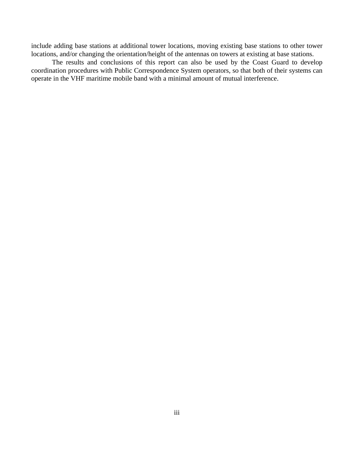include adding base stations at additional tower locations, moving existing base stations to other tower locations, and/or changing the orientation/height of the antennas on towers at existing at base stations.

The results and conclusions of this report can also be used by the Coast Guard to develop coordination procedures with Public Correspondence System operators, so that both of their systems can operate in the VHF maritime mobile band with a minimal amount of mutual interference.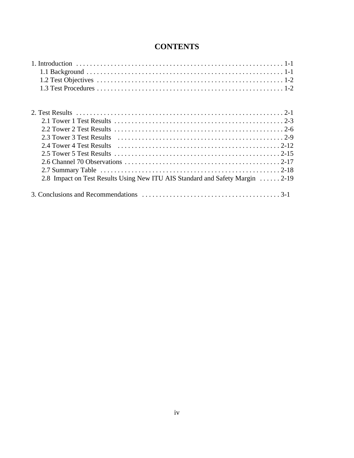## **CONTENTS**

| 2.8 Impact on Test Results Using New ITU AIS Standard and Safety Margin  2-19 |
|-------------------------------------------------------------------------------|
|                                                                               |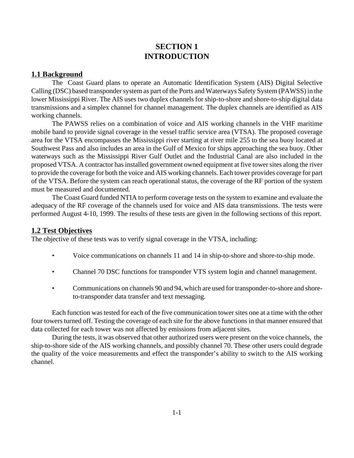## **SECTION 1 INTRODUCTION**

#### **1.1 Background**

The Coast Guard plans to operate an Automatic Identification System (AIS) Digital Selective Calling (DSC) based transponder system as part of the Ports and Waterways Safety System (PAWSS) in the lower Mississippi River. The AIS uses two duplex channels for ship-to-shore and shore-to-ship digital data transmissions and a simplex channel for channel management. The duplex channels are identified as AIS working channels.

The PAWSS relies on a combination of voice and AIS working channels in the VHF maritime mobile band to provide signal coverage in the vessel traffic service area (VTSA). The proposed coverage area for the VTSA encompasses the Mississippi river starting at river mile 255 to the sea buoy located at Southwest Pass and also includes an area in the Gulf of Mexico for ships approaching the sea buoy. Other waterways such as the Mississippi River Gulf Outlet and the Industrial Canal are also included in the proposed VTSA. A contractor has installed government owned equipment at five tower sites along the river to provide the coverage for both the voice and AIS working channels. Each tower provides coverage for part of the VTSA. Before the system can reach operational status, the coverage of the RF portion of the system must be measured and documented.

The Coast Guard funded NTIA to perform coverage tests on the system to examine and evaluate the adequacy of the RF coverage of the channels used for voice and AIS data transmissions. The tests were performed August 4-10, 1999. The results of these tests are given in the following sections of this report.

#### **1.2 Test Objectives**

The objective of these tests was to verify signal coverage in the VTSA, including:

- Voice communications on channels 11 and 14 in ship-to-shore and shore-to-ship mode.
- Channel 70 DSC functions for transponder VTS system login and channel management.
- Communications on channels 90 and 94, which are used for transponder-to-shore and shoreto-transponder data transfer and text messaging.

Each function was tested for each of the five communication tower sites one at a time with the other four towers turned off. Testing the coverage of each site for the above functions in that manner ensured that data collected for each tower was not affected by emissions from adjacent sites.

During the tests, it was observed that other authorized users were present on the voice channels, the ship-to-shore side of the AIS working channels, and possibly channel 70. These other users could degrade the quality of the voice measurements and effect the transponder's ability to switch to the AIS working channel.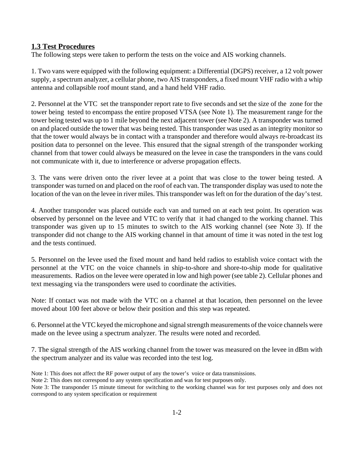#### **1.3 Test Procedures**

The following steps were taken to perform the tests on the voice and AIS working channels.

1. Two vans were equipped with the following equipment: a Differential (DGPS) receiver, a 12 volt power supply, a spectrum analyzer, a cellular phone, two AIS transponders, a fixed mount VHF radio with a whip antenna and collapsible roof mount stand, and a hand held VHF radio.

2. Personnel at the VTC set the transponder report rate to five seconds and set the size of the zone for the tower being tested to encompass the entire proposed VTSA (see Note 1). The measurement range for the tower being tested was up to 1 mile beyond the next adjacent tower (see Note 2). A transponder was turned on and placed outside the tower that was being tested. This transponder was used as an integrity monitor so that the tower would always be in contact with a transponder and therefore would always re-broadcast its position data to personnel on the levee. This ensured that the signal strength of the transponder working channel from that tower could always be measured on the levee in case the transponders in the vans could not communicate with it, due to interference or adverse propagation effects.

3. The vans were driven onto the river levee at a point that was close to the tower being tested. A transponder was turned on and placed on the roof of each van. The transponder display was used to note the location of the van on the levee in river miles. This transponder was left on for the duration of the day's test.

4. Another transponder was placed outside each van and turned on at each test point. Its operation was observed by personnel on the levee and VTC to verify that it had changed to the working channel. This transponder was given up to 15 minutes to switch to the AIS working channel (see Note 3). If the transponder did not change to the AIS working channel in that amount of time it was noted in the test log and the tests continued.

5. Personnel on the levee used the fixed mount and hand held radios to establish voice contact with the personnel at the VTC on the voice channels in ship-to-shore and shore-to-ship mode for qualitative measurements. Radios on the levee were operated in low and high power (see table 2). Cellular phones and text messaging via the transponders were used to coordinate the activities.

Note: If contact was not made with the VTC on a channel at that location, then personnel on the levee moved about 100 feet above or below their position and this step was repeated.

6. Personnel at the VTC keyed the microphone and signal strength measurements of the voice channels were made on the levee using a spectrum analyzer. The results were noted and recorded.

7. The signal strength of the AIS working channel from the tower was measured on the levee in dBm with the spectrum analyzer and its value was recorded into the test log.

Note 1: This does not affect the RF power output of any the tower's voice or data transmissions.

Note 2: This does not correspond to any system specification and was for test purposes only.

Note 3: The transponder 15 minute timeout for switching to the working channel was for test purposes only and does not correspond to any system specification or requirement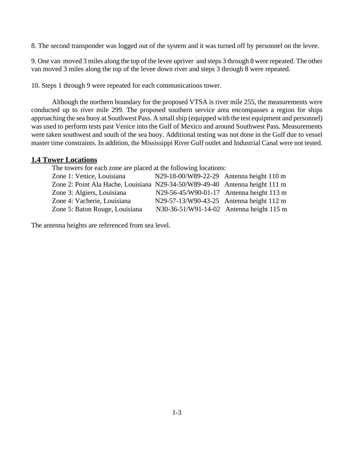8. The second transponder was logged out of the system and it was turned off by personnel on the levee.

9. One van moved 3 miles along the top of the levee upriver and steps 3 through 8 were repeated. The other van moved 3 miles along the top of the levee down river and steps 3 through 8 were repeated.

10. Steps 1 through 9 were repeated for each communications tower.

Although the northern boundary for the proposed VTSA is river mile 255, the measurements were conducted up to river mile 299. The proposed southern service area encompasses a region for ships approaching the sea buoy at Southwest Pass. A small ship (equipped with the test equipment and personnel) was used to perform tests past Venice into the Gulf of Mexico and around Southwest Pass. Measurements were taken southwest and south of the sea buoy. Additional testing was not done in the Gulf due to vessel master time constraints. In addition, the Mississippi River Gulf outlet and Industrial Canal were not tested.

#### **1.4 Tower Locations**

The towers for each zone are placed at the following locations:

| Zone 1: Venice, Louisiana                                                   | N29-18-00/W89-22-29 Antenna height 110 m |  |
|-----------------------------------------------------------------------------|------------------------------------------|--|
| Zone 2: Point Ala Hache, Louisiana N29-34-50/W89-49-40 Antenna height 111 m |                                          |  |
| Zone 3: Algiers, Louisiana                                                  | N29-56-45/W90-01-17 Antenna height 113 m |  |
| Zone 4: Vacherie, Louisiana                                                 | N29-57-13/W90-43-25 Antenna height 112 m |  |
| Zone 5: Baton Rouge, Louisiana                                              | N30-36-51/W91-14-02 Antenna height 115 m |  |
|                                                                             |                                          |  |

The antenna heights are referenced from sea level.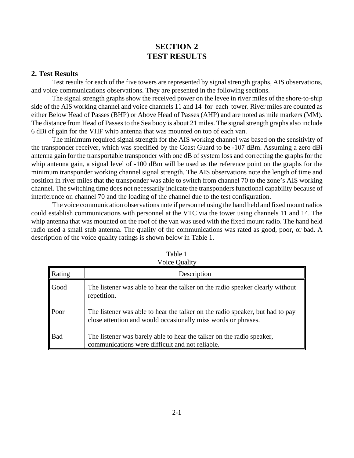## **SECTION 2 TEST RESULTS**

#### **2. Test Results**

Test results for each of the five towers are represented by signal strength graphs, AIS observations, and voice communications observations. They are presented in the following sections.

The signal strength graphs show the received power on the levee in river miles of the shore-to-ship side of the AIS working channel and voice channels 11 and 14 for each tower. River miles are counted as either Below Head of Passes (BHP) or Above Head of Passes (AHP) and are noted as mile markers (MM). The distance from Head of Passes to the Sea buoy is about 21 miles. The signal strength graphs also include 6 dBi of gain for the VHF whip antenna that was mounted on top of each van.

The minimum required signal strength for the AIS working channel was based on the sensitivity of the transponder receiver, which was specified by the Coast Guard to be -107 dBm. Assuming a zero dBi antenna gain for the transportable transponder with one dB of system loss and correcting the graphs for the whip antenna gain, a signal level of -100 dBm will be used as the reference point on the graphs for the minimum transponder working channel signal strength. The AIS observations note the length of time and position in river miles that the transponder was able to switch from channel 70 to the zone's AIS working channel. The switching time does not necessarily indicate the transponders functional capability because of interference on channel 70 and the loading of the channel due to the test configuration.

The voice communication observations note if personnel using the hand held and fixed mount radios could establish communications with personnel at the VTC via the tower using channels 11 and 14. The whip antenna that was mounted on the roof of the van was used with the fixed mount radio. The hand held radio used a small stub antenna. The quality of the communications was rated as good, poor, or bad. A description of the voice quality ratings is shown below in Table 1.

| Rating     | Description                                                                                                                                    |
|------------|------------------------------------------------------------------------------------------------------------------------------------------------|
| Good       | The listener was able to hear the talker on the radio speaker clearly without<br>repetition.                                                   |
| Poor       | The listener was able to hear the talker on the radio speaker, but had to pay<br>close attention and would occasionally miss words or phrases. |
| <b>Bad</b> | The listener was barely able to hear the talker on the radio speaker,<br>communications were difficult and not reliable.                       |

Table 1  $V\sin\theta$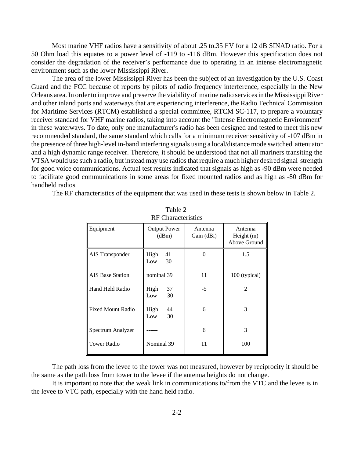Most marine VHF radios have a sensitivity of about .25 to.35 FV for a 12 dB SINAD ratio. For a 50 Ohm load this equates to a power level of -119 to -116 dBm. However this specification does not consider the degradation of the receiver's performance due to operating in an intense electromagnetic environment such as the lower Mississippi River.

The area of the lower Mississippi River has been the subject of an investigation by the U.S. Coast Guard and the FCC because of reports by pilots of radio frequency interference, especially in the New Orleans area. In order to improve and preserve the viability of marine radio services in the Mississippi River and other inland ports and waterways that are experiencing interference, the Radio Technical Commission for Maritime Services (RTCM) established a special committee, RTCM SC-117, to prepare a voluntary receiver standard for VHF marine radios, taking into account the "Intense Electromagnetic Environment" in these waterways. To date, only one manufacturer's radio has been designed and tested to meet this new recommended standard, the same standard which calls for a minimum receiver sensitivity of -107 dBm in the presence of three high-level in-band interfering signals using a local/distance mode switched attenuator and a high dynamic range receiver. Therefore, it should be understood that not all mariners transiting the VTSA would use such a radio, but instead may use radios that require a much higher desired signal strength for good voice communications. Actual test results indicated that signals as high as -90 dBm were needed to facilitate good communications in some areas for fixed mounted radios and as high as -80 dBm for handheld radios.

The RF characteristics of the equipment that was used in these tests is shown below in Table 2.

| RF Characteristics       |                              |                       |                                         |
|--------------------------|------------------------------|-----------------------|-----------------------------------------|
| Equipment                | <b>Output Power</b><br>(dBm) | Antenna<br>Gain (dBi) | Antenna<br>Height $(m)$<br>Above Ground |
| AIS Transponder          | High<br>41<br>30<br>Low      | 0                     | 1.5                                     |
| <b>AIS Base Station</b>  | nominal 39                   | 11                    | 100 (typical)                           |
| Hand Held Radio          | High<br>37<br>30<br>Low      | $-5$                  | 2                                       |
| <b>Fixed Mount Radio</b> | High<br>44<br>30<br>Low      | 6                     | 3                                       |
| Spectrum Analyzer        |                              | 6                     | 3                                       |
| Tower Radio              | Nominal 39                   | 11                    | 100                                     |

Table 2 RF Characteristics

The path loss from the levee to the tower was not measured, however by reciprocity it should be the same as the path loss from tower to the levee if the antenna heights do not change.

It is important to note that the weak link in communications to/from the VTC and the levee is in the levee to VTC path, especially with the hand held radio.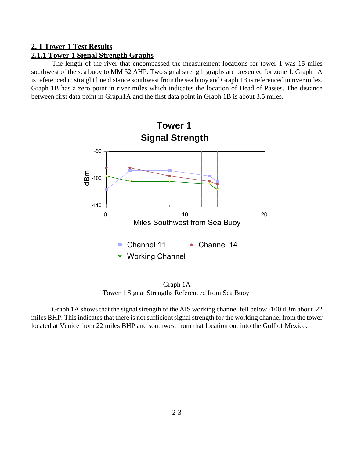### **2. 1 Tower 1 Test Results**

#### **2.1.1 Tower 1 Signal Strength Graphs**

The length of the river that encompassed the measurement locations for tower 1 was 15 miles southwest of the sea buoy to MM 52 AHP. Two signal strength graphs are presented for zone 1. Graph 1A is referenced in straight line distance southwest from the sea buoy and Graph 1B is referenced in river miles. Graph 1B has a zero point in river miles which indicates the location of Head of Passes. The distance between first data point in Graph1A and the first data point in Graph 1B is about 3.5 miles.



Graph 1A Tower 1 Signal Strengths Referenced from Sea Buoy

Graph 1A shows that the signal strength of the AIS working channel fell below -100 dBm about 22 miles BHP. This indicates that there is not sufficient signal strength for the working channel from the tower located at Venice from 22 miles BHP and southwest from that location out into the Gulf of Mexico.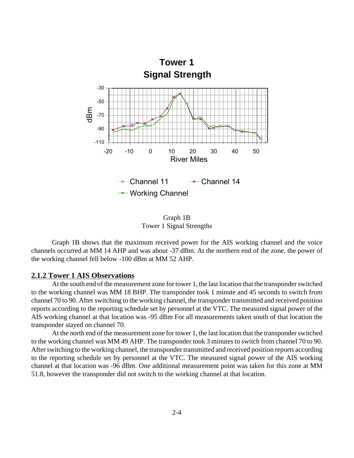

Graph 1B Tower 1 Signal Strengths

Graph 1B shows that the maximum received power for the AIS working channel and the voice channels occurred at MM 14 AHP and was about -37 dBm. At the northern end of the zone, the power of the working channel fell below -100 dBm at MM 52 AHP.

#### **2.1.2 Tower 1 AIS Observations**

At the south end of the measurement zone for tower 1, the last location that the transponder switched to the working channel was MM 18 BHP. The transponder took 1 minute and 45 seconds to switch from channel 70 to 90. After switching to the working channel, the transponder transmitted and received position reports according to the reporting schedule set by personnel at the VTC. The measured signal power of the AIS working channel at that location was -95 dBm For all measurements taken south of that location the transponder stayed on channel 70.

At the north end of the measurement zone for tower 1, the last location that the transponder switched to the working channel was MM 49 AHP. The transponder took 3 minutes to switch from channel 70 to 90. After switching to the working channel, the transponder transmitted and received position reports according to the reporting schedule set by personnel at the VTC. The measured signal power of the AIS working channel at that location was -96 dBm. One additional measurement point was taken for this zone at MM 51.8, however the transponder did not switch to the working channel at that location.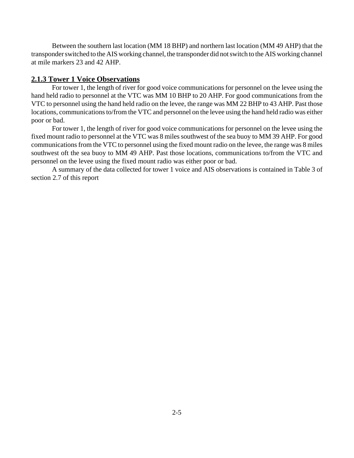Between the southern last location (MM 18 BHP) and northern last location (MM 49 AHP) that the transponder switched to the AIS working channel, the transponder did not switch to the AIS working channel at mile markers 23 and 42 AHP.

#### **2.1.3 Tower 1 Voice Observations**

For tower 1, the length of river for good voice communications for personnel on the levee using the hand held radio to personnel at the VTC was MM 10 BHP to 20 AHP. For good communications from the VTC to personnel using the hand held radio on the levee, the range was MM 22 BHP to 43 AHP. Past those locations, communications to/from the VTC and personnel on the levee using the hand held radio was either poor or bad.

For tower 1, the length of river for good voice communications for personnel on the levee using the fixed mount radio to personnel at the VTC was 8 miles southwest of the sea buoy to MM 39 AHP. For good communications from the VTC to personnel using the fixed mount radio on the levee, the range was 8 miles southwest oft the sea buoy to MM 49 AHP. Past those locations, communications to/from the VTC and personnel on the levee using the fixed mount radio was either poor or bad.

A summary of the data collected for tower 1 voice and AIS observations is contained in Table 3 of section 2.7 of this report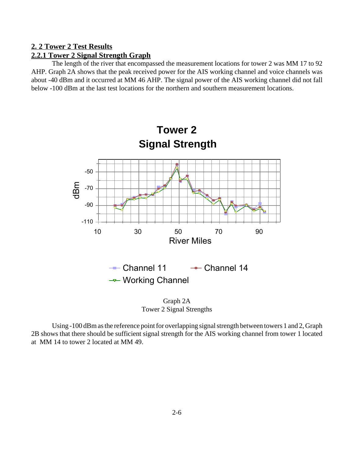#### **2. 2 Tower 2 Test Results**

### **2.2.1 Tower 2 Signal Strength Graph**

The length of the river that encompassed the measurement locations for tower 2 was MM 17 to 92 AHP. Graph 2A shows that the peak received power for the AIS working channel and voice channels was about -40 dBm and it occurred at MM 46 AHP. The signal power of the AIS working channel did not fall below -100 dBm at the last test locations for the northern and southern measurement locations.



Graph 2A Tower 2 Signal Strengths

Using -100 dBm as the reference point for overlapping signal strength between towers 1 and 2, Graph 2B shows that there should be sufficient signal strength for the AIS working channel from tower 1 located at MM 14 to tower 2 located at MM 49.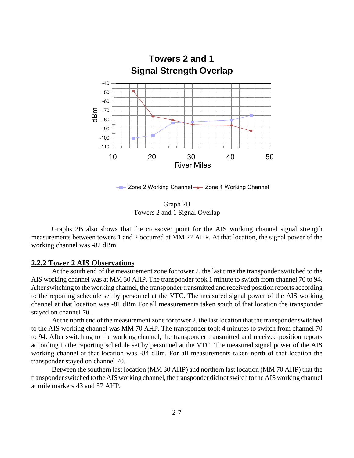

Graph 2B Towers 2 and 1 Signal Overlap

Graphs 2B also shows that the crossover point for the AIS working channel signal strength measurements between towers 1 and 2 occurred at MM 27 AHP. At that location, the signal power of the working channel was -82 dBm.

#### **2.2.2 Tower 2 AIS Observations**

At the south end of the measurement zone for tower 2, the last time the transponder switched to the AIS working channel was at MM 30 AHP. The transponder took 1 minute to switch from channel 70 to 94. After switching to the working channel, the transponder transmitted and received position reports according to the reporting schedule set by personnel at the VTC. The measured signal power of the AIS working channel at that location was -81 dBm For all measurements taken south of that location the transponder stayed on channel 70.

At the north end of the measurement zone for tower 2, the last location that the transponder switched to the AIS working channel was MM 70 AHP. The transponder took 4 minutes to switch from channel 70 to 94. After switching to the working channel, the transponder transmitted and received position reports according to the reporting schedule set by personnel at the VTC. The measured signal power of the AIS working channel at that location was -84 dBm. For all measurements taken north of that location the transponder stayed on channel 70.

Between the southern last location (MM 30 AHP) and northern last location (MM 70 AHP) that the transponder switched to the AIS working channel, the transponder did not switch to the AIS working channel at mile markers 43 and 57 AHP.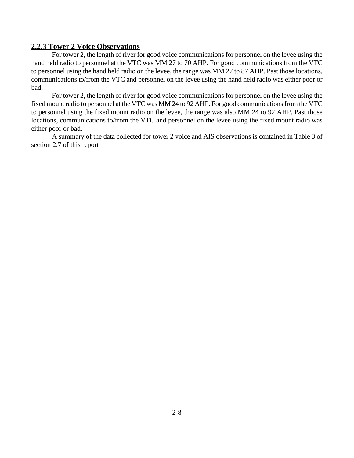#### **2.2.3 Tower 2 Voice Observations**

For tower 2, the length of river for good voice communications for personnel on the levee using the hand held radio to personnel at the VTC was MM 27 to 70 AHP. For good communications from the VTC to personnel using the hand held radio on the levee, the range was MM 27 to 87 AHP. Past those locations, communications to/from the VTC and personnel on the levee using the hand held radio was either poor or bad.

For tower 2, the length of river for good voice communications for personnel on the levee using the fixed mount radio to personnel at the VTC was MM 24 to 92 AHP. For good communications from the VTC to personnel using the fixed mount radio on the levee, the range was also MM 24 to 92 AHP. Past those locations, communications to/from the VTC and personnel on the levee using the fixed mount radio was either poor or bad.

A summary of the data collected for tower 2 voice and AIS observations is contained in Table 3 of section 2.7 of this report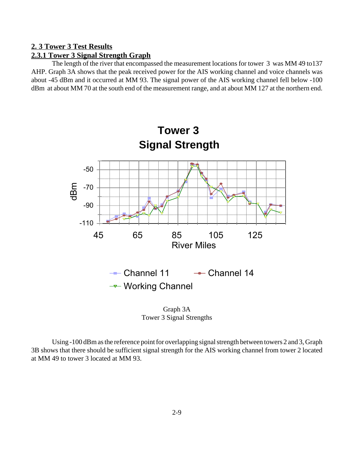#### **2. 3 Tower 3 Test Results**

### **2.3.1 Tower 3 Signal Strength Graph**

The length of the river that encompassed the measurement locations for tower 3 was MM 49 to137 AHP. Graph 3A shows that the peak received power for the AIS working channel and voice channels was about -45 dBm and it occurred at MM 93. The signal power of the AIS working channel fell below -100 dBm at about MM 70 at the south end of the measurement range, and at about MM 127 at the northern end.



Graph 3A Tower 3 Signal Strengths

Using -100 dBm as the reference point for overlapping signal strength between towers 2 and 3, Graph 3B shows that there should be sufficient signal strength for the AIS working channel from tower 2 located at MM 49 to tower 3 located at MM 93.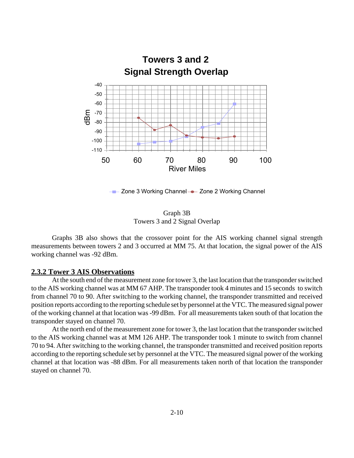

- Zone 3 Working Channel - Zone 2 Working Channel

Graph 3B Towers 3 and 2 Signal Overlap

Graphs 3B also shows that the crossover point for the AIS working channel signal strength measurements between towers 2 and 3 occurred at MM 75. At that location, the signal power of the AIS working channel was -92 dBm.

#### **2.3.2 Tower 3 AIS Observations**

At the south end of the measurement zone for tower 3, the last location that the transponder switched to the AIS working channel was at MM 67 AHP. The transponder took 4 minutes and 15 seconds to switch from channel 70 to 90. After switching to the working channel, the transponder transmitted and received position reports according to the reporting schedule set by personnel at the VTC. The measured signal power of the working channel at that location was -99 dBm. For all measurements taken south of that location the transponder stayed on channel 70.

At the north end of the measurement zone for tower 3, the last location that the transponder switched to the AIS working channel was at MM 126 AHP. The transponder took 1 minute to switch from channel 70 to 94. After switching to the working channel, the transponder transmitted and received position reports according to the reporting schedule set by personnel at the VTC. The measured signal power of the working channel at that location was -88 dBm. For all measurements taken north of that location the transponder stayed on channel 70.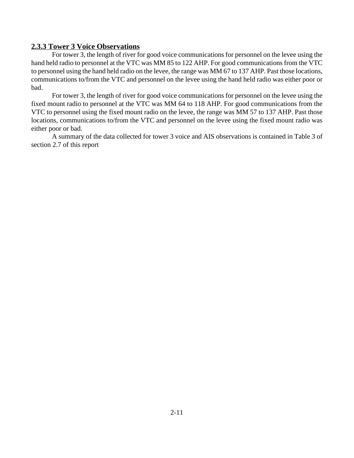#### **2.3.3 Tower 3 Voice Observations**

For tower 3, the length of river for good voice communications for personnel on the levee using the hand held radio to personnel at the VTC was MM 85 to 122 AHP. For good communications from the VTC to personnel using the hand held radio on the levee, the range was MM 67 to 137 AHP. Past those locations, communications to/from the VTC and personnel on the levee using the hand held radio was either poor or bad.

For tower 3, the length of river for good voice communications for personnel on the levee using the fixed mount radio to personnel at the VTC was MM 64 to 118 AHP. For good communications from the VTC to personnel using the fixed mount radio on the levee, the range was MM 57 to 137 AHP. Past those locations, communications to/from the VTC and personnel on the levee using the fixed mount radio was either poor or bad.

A summary of the data collected for tower 3 voice and AIS observations is contained in Table 3 of section 2.7 of this report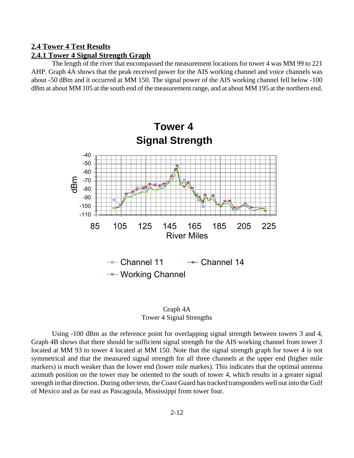#### **2.4 Tower 4 Test Results**

#### **2.4.1 Tower 4 Signal Strength Graph**

The length of the river that encompassed the measurement locations for tower 4 was MM 99 to 221 AHP. Graph 4A shows that the peak received power for the AIS working channel and voice channels was about -50 dBm and it occurred at MM 150. The signal power of the AIS working channel fell below -100 dBm at about MM 105 at the south end of the measurement range, and at about MM 195 at the northern end.



Graph 4A Tower 4 Signal Strengths

Using -100 dBm as the reference point for overlapping signal strength between towers 3 and 4, Graph 4B shows that there should be sufficient signal strength for the AIS working channel from tower 3 located at MM 93 to tower 4 located at MM 150. Note that the signal strength graph for tower 4 is not symmetrical and that the measured signal strength for all three channels at the upper end (higher mile markers) is much weaker than the lower end (lower mile markes). This indicates that the optimal antenna azimuth position on the tower may be oriented to the south of tower 4, which results in a greater signal strength in that direction. During other tests, the Coast Guard has tracked transponders well out into the Gulf of Mexico and as far east as Pascagoula, Mississippi from tower four.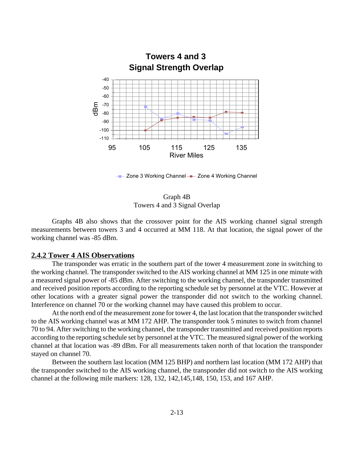

Zone 3 Working Channel - Zone 4 Working Channel

Graph 4B Towers 4 and 3 Signal Overlap

Graphs 4B also shows that the crossover point for the AIS working channel signal strength measurements between towers 3 and 4 occurred at MM 118. At that location, the signal power of the working channel was -85 dBm.

#### **2.4.2 Tower 4 AIS Observations**

The transponder was erratic in the southern part of the tower 4 measurement zone in switching to the working channel. The transponder switched to the AIS working channel at MM 125 in one minute with a measured signal power of -85 dBm. After switching to the working channel, the transponder transmitted and received position reports according to the reporting schedule set by personnel at the VTC. However at other locations with a greater signal power the transponder did not switch to the working channel. Interference on channel 70 or the working channel may have caused this problem to occur.

At the north end of the measurement zone for tower 4, the last location that the transponder switched to the AIS working channel was at MM 172 AHP. The transponder took 5 minutes to switch from channel 70 to 94. After switching to the working channel, the transponder transmitted and received position reports according to the reporting schedule set by personnel at the VTC. The measured signal power of the working channel at that location was -89 dBm. For all measurements taken north of that location the transponder stayed on channel 70.

Between the southern last location (MM 125 BHP) and northern last location (MM 172 AHP) that the transponder switched to the AIS working channel, the transponder did not switch to the AIS working channel at the following mile markers: 128, 132, 142,145,148, 150, 153, and 167 AHP.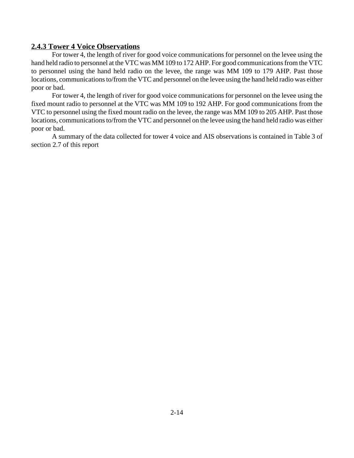#### **2.4.3 Tower 4 Voice Observations**

For tower 4, the length of river for good voice communications for personnel on the levee using the hand held radio to personnel at the VTC was MM 109 to 172 AHP. For good communications from the VTC to personnel using the hand held radio on the levee, the range was MM 109 to 179 AHP. Past those locations, communications to/from the VTC and personnel on the levee using the hand held radio was either poor or bad.

For tower 4, the length of river for good voice communications for personnel on the levee using the fixed mount radio to personnel at the VTC was MM 109 to 192 AHP. For good communications from the VTC to personnel using the fixed mount radio on the levee, the range was MM 109 to 205 AHP. Past those locations, communications to/from the VTC and personnel on the levee using the hand held radio was either poor or bad.

A summary of the data collected for tower 4 voice and AIS observations is contained in Table 3 of section 2.7 of this report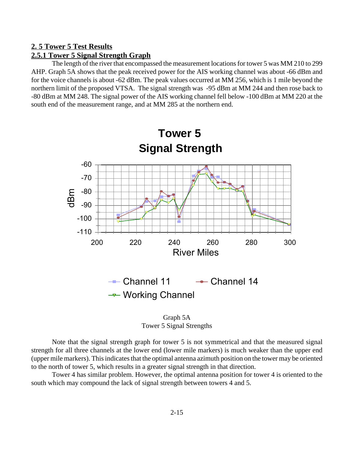#### **2. 5 Tower 5 Test Results**

#### **2.5.1 Tower 5 Signal Strength Graph**

The length of the river that encompassed the measurement locations for tower 5 was MM 210 to 299 AHP. Graph 5A shows that the peak received power for the AIS working channel was about -66 dBm and for the voice channels is about -62 dBm. The peak values occurred at MM 256, which is 1 mile beyond the northern limit of the proposed VTSA. The signal strength was -95 dBm at MM 244 and then rose back to -80 dBm at MM 248. The signal power of the AIS working channel fell below -100 dBm at MM 220 at the south end of the measurement range, and at MM 285 at the northern end.



Graph 5A Tower 5 Signal Strengths

Note that the signal strength graph for tower 5 is not symmetrical and that the measured signal strength for all three channels at the lower end (lower mile markers) is much weaker than the upper end (upper mile markers). This indicates that the optimal antenna azimuth position on the tower may be oriented to the north of tower 5, which results in a greater signal strength in that direction.

Tower 4 has similar problem. However, the optimal antenna position for tower 4 is oriented to the south which may compound the lack of signal strength between towers 4 and 5.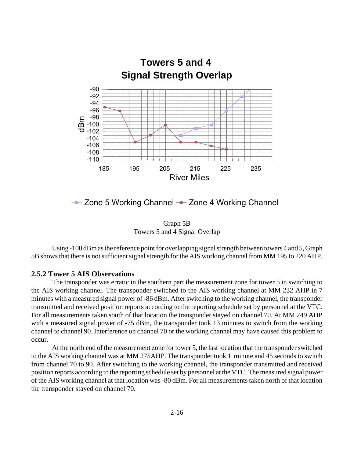

 $\leftarrow$  Zone 5 Working Channel  $\leftarrow$  Zone 4 Working Channel

Graph 5B Towers 5 and 4 Signal Overlap

Using -100 dBm as the reference point for overlapping signal strength between towers 4 and 5, Graph 5B shows that there is not sufficient signal strength for the AIS working channel from MM 195 to 220 AHP.

#### **2.5.2 Tower 5 AIS Observations**

The transponder was erratic in the southern part the measurement zone for tower 5 in switching to the AIS working channel. The transponder switched to the AIS working channel at MM 232 AHP in 7 minutes with a measured signal power of -86 dBm. After switching to the working channel, the transponder transmitted and received position reports according to the reporting schedule set by personnel at the VTC. For all measurements taken south of that location the transponder stayed on channel 70. At MM 249 AHP with a measured signal power of -75 dBm, the transponder took 13 minutes to switch from the working channel to channel 90. Interference on channel 70 or the working channel may have caused this problem to occur.

At the north end of the measurement zone for tower 5, the last location that the transponder switched to the AIS working channel was at MM 275AHP. The transponder took 1 minute and 45 seconds to switch from channel 70 to 90. After switching to the working channel, the transponder transmitted and received position reports according to the reporting schedule set by personnel at the VTC. The measured signal power of the AIS working channel at that location was -80 dBm. For all measurements taken north of that location the transponder stayed on channel 70.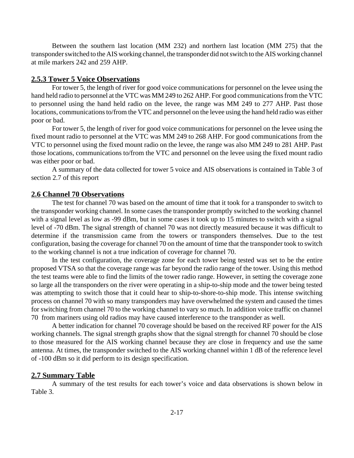Between the southern last location (MM 232) and northern last location (MM 275) that the transponder switched to the AIS working channel, the transponder did not switch to the AIS working channel at mile markers 242 and 259 AHP.

#### **2.5.3 Tower 5 Voice Observations**

For tower 5, the length of river for good voice communications for personnel on the levee using the hand held radio to personnel at the VTC was MM 249 to 262 AHP. For good communications from the VTC to personnel using the hand held radio on the levee, the range was MM 249 to 277 AHP. Past those locations, communications to/from the VTC and personnel on the levee using the hand held radio was either poor or bad.

For tower 5, the length of river for good voice communications for personnel on the levee using the fixed mount radio to personnel at the VTC was MM 249 to 268 AHP. For good communications from the VTC to personnel using the fixed mount radio on the levee, the range was also MM 249 to 281 AHP. Past those locations, communications to/from the VTC and personnel on the levee using the fixed mount radio was either poor or bad.

A summary of the data collected for tower 5 voice and AIS observations is contained in Table 3 of section 2.7 of this report

#### **2.6 Channel 70 Observations**

The test for channel 70 was based on the amount of time that it took for a transponder to switch to the transponder working channel. In some cases the transponder promptly switched to the working channel with a signal level as low as -99 dBm, but in some cases it took up to 15 minutes to switch with a signal level of -70 dBm. The signal strength of channel 70 was not directly measured because it was difficult to determine if the transmission came from the towers or transponders themselves. Due to the test configuration, basing the coverage for channel 70 on the amount of time that the transponder took to switch to the working channel is not a true indication of coverage for channel 70.

In the test configuration, the coverage zone for each tower being tested was set to be the entire proposed VTSA so that the coverage range was far beyond the radio range of the tower. Using this method the test teams were able to find the limits of the tower radio range. However, in setting the coverage zone so large all the transponders on the river were operating in a ship-to-ship mode and the tower being tested was attempting to switch those that it could hear to ship-to-shore-to-ship mode. This intense switching process on channel 70 with so many transponders may have overwhelmed the system and caused the times for switching from channel 70 to the working channel to vary so much. In addition voice traffic on channel 70 from mariners using old radios may have caused interference to the transponder as well.

A better indication for channel 70 coverage should be based on the received RF power for the AIS working channels. The signal strength graphs show that the signal strength for channel 70 should be close to those measured for the AIS working channel because they are close in frequency and use the same antenna. At times, the transponder switched to the AIS working channel within 1 dB of the reference level of -100 dBm so it did perform to its design specification.

#### **2.7 Summary Table**

A summary of the test results for each tower's voice and data observations is shown below in Table 3.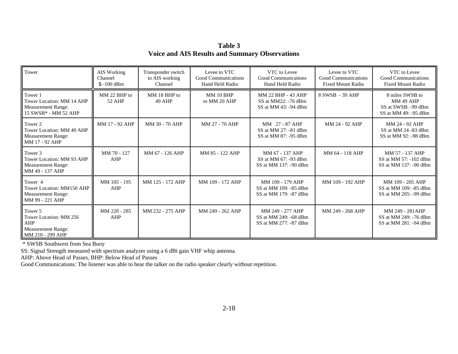**Table 3 Voice and AIS Results and Summary Observations**

| Tower                                                                                            | AIS Working<br>Channel<br>$$ -100$ dBm | Transponder switch<br>to AIS working<br>Channel | Levee to VTC<br>Good Communications<br>Hand Held Radio | VTC to Levee<br>Good Communications<br>Hand Held Radio             | Levee to VTC<br>Good Communications<br><b>Fixed Mount Radio</b> | VTC to Levee<br>Good Communications<br><b>Fixed Mount Radio</b>                    |
|--------------------------------------------------------------------------------------------------|----------------------------------------|-------------------------------------------------|--------------------------------------------------------|--------------------------------------------------------------------|-----------------------------------------------------------------|------------------------------------------------------------------------------------|
| Tower 1<br>Tower Location: MM 14 AHP<br><b>Measurement Range:</b><br>15 SWSB* - MM 52 AHP        | MM 22 BHP to<br>52 AHP                 | MM 18 BHP to<br><b>49 AHP</b>                   | <b>MM 10 BHP</b><br>to MM 20 AHP                       | MM 22 BHP - 43 AHP<br>SS at MM22: -76 dBm<br>SS at MM 43: -94 dBm  | 8 SWSB - 39 AHP                                                 | 8 miles SWSB to<br><b>MM 49 AHP</b><br>SS at SWSB: -99 dBm<br>SS at MM 49: -95 dBm |
| Tower 2<br>Tower Location: MM 49 AHP<br><b>Measurement Range:</b><br>MM 17 - 92 AHP              | MM 17 - 92 AHP                         | MM 30 - 70 AHP                                  | MM 27 - 70 AHP                                         | MM 27 - 87 AHP<br>SS at MM 27: -81 dBm<br>SS at MM 87: -95 dBm     | MM 24 - 92 AHP                                                  | MM 24 - 92 AHP<br>SS at MM 24 -83 dBm<br>SS at MM 92: -98 dBm                      |
| Tower 3<br>Tower Location: MM 93 AHP<br><b>Measurement Range:</b><br>MM 49 - 137 AHP             | MM 70 - 127<br>AHP                     | MM 67 - 126 AHP                                 | MM 85 - 122 AHP                                        | MM 67 - 137 AHP<br>SS at MM 67: -93 dBm<br>SS at MM 137: -90 dBm   | MM 64 - 118 AHP                                                 | MM 57 - 137 AHP<br>SS at MM 57: -102 dBm<br>SS at MM 137: -90 dBm                  |
| Tower <sub>4</sub><br>Tower Location: MM150 AHP<br><b>Measurement Range:</b><br>MM 99 - 221 AHP  | MM 105 - 195<br>AHP                    | MM 125 - 172 AHP                                | MM 109 - 172 AHP                                       | MM 109 - 179 AHP<br>SS at MM 109: -85 dBm<br>SS at MM 179: -87 dBm | MM 109 - 192 AHP                                                | MM 109 - 205 AHP<br>SS at MM 109: -85 dBm<br>SS at MM 205: -99 dBm                 |
| Tower 5<br>Tower Location: MM 256<br><b>AHP</b><br><b>Measurement Range:</b><br>MM 210 - 299 AHP | MM 220 - 285<br>AHP                    | MM 232 - 275 AHP                                | MM 249 - 262 AHP                                       | MM 249 - 277 AHP<br>SS at MM 249: -68 dBm<br>SS at MM 277: -87 dBm | MM 249 - 268 AHP                                                | MM 249 - 281AHP<br>SS at MM 249: -76 dBm<br>SS at MM 281: -94 dBm                  |

\* SWSB Southwest from Sea Buoy

SS: Signal Strength measured with spectrum analyzer using a 6 dBi gain VHF whip antenna.

AHP: Above Head of Passes, BHP: Below Head of Passes

Good Communications: The listener was able to hear the talker on the radio speaker clearly without repetition.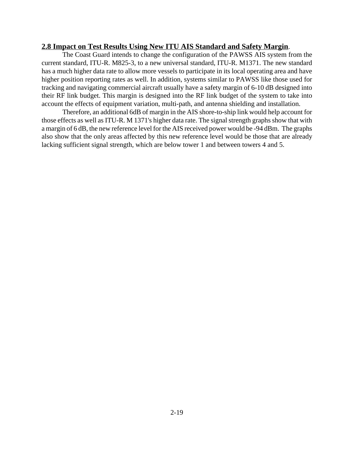#### **2.8 Impact on Test Results Using New ITU AIS Standard and Safety Margin**.

The Coast Guard intends to change the configuration of the PAWSS AIS system from the current standard, ITU-R. M825-3, to a new universal standard, ITU-R. M1371. The new standard has a much higher data rate to allow more vessels to participate in its local operating area and have higher position reporting rates as well. In addition, systems similar to PAWSS like those used for tracking and navigating commercial aircraft usually have a safety margin of 6-10 dB designed into their RF link budget. This margin is designed into the RF link budget of the system to take into account the effects of equipment variation, multi-path, and antenna shielding and installation.

Therefore, an additional 6dB of margin in the AIS shore-to-ship link would help account for those effects as well as ITU-R. M 1371's higher data rate. The signal strength graphs show that with a margin of 6 dB, the new reference level for the AIS received power would be -94 dBm. The graphs also show that the only areas affected by this new reference level would be those that are already lacking sufficient signal strength, which are below tower 1 and between towers 4 and 5.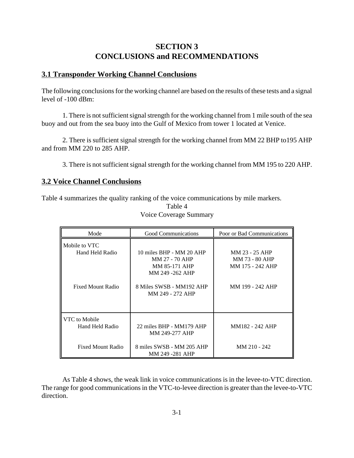## **SECTION 3 CONCLUSIONS and RECOMMENDATIONS**

#### **3.1 Transponder Working Channel Conclusions**

The following conclusions for the working channel are based on the results of these tests and a signal level of -100 dBm:

1. There is not sufficient signal strength for the working channel from 1 mile south of the sea buoy and out from the sea buoy into the Gulf of Mexico from tower 1 located at Venice.

2. There is sufficient signal strength for the working channel from MM 22 BHP to195 AHP and from MM 220 to 285 AHP.

3. There is not sufficient signal strength for the working channel from MM 195 to 220 AHP.

#### **3.2 Voice Channel Conclusions**

Table 4 summarizes the quality ranking of the voice communications by mile markers.

| Mode                             | Good Communications                                                                   | Poor or Bad Communications                           |
|----------------------------------|---------------------------------------------------------------------------------------|------------------------------------------------------|
| Mobile to VTC<br>Hand Held Radio | 10 miles BHP - MM 20 AHP<br>MM 27 - 70 AHP<br><b>MM 85-171 AHP</b><br>MM 249 -262 AHP | MM 23 - 25 AHP<br>MM 73 - 80 AHP<br>MM 175 - 242 AHP |
| Fixed Mount Radio                | 8 Miles SWSB - MM192 AHP<br>MM 249 - 272 AHP                                          | MM 199 - 242 AHP                                     |
| VTC to Mobile<br>Hand Held Radio | 22 miles BHP - MM179 AHP<br>MM 249-277 AHP                                            | MM182 - 242 AHP                                      |
| <b>Fixed Mount Radio</b>         | 8 miles SWSB - MM 205 AHP<br>MM 249 -281 AHP                                          | MM 210 - 242                                         |

Table 4 Voice Coverage Summary

As Table 4 shows, the weak link in voice communications is in the levee-to-VTC direction. The range for good communications in the VTC-to-levee direction is greater than the levee-to-VTC direction.